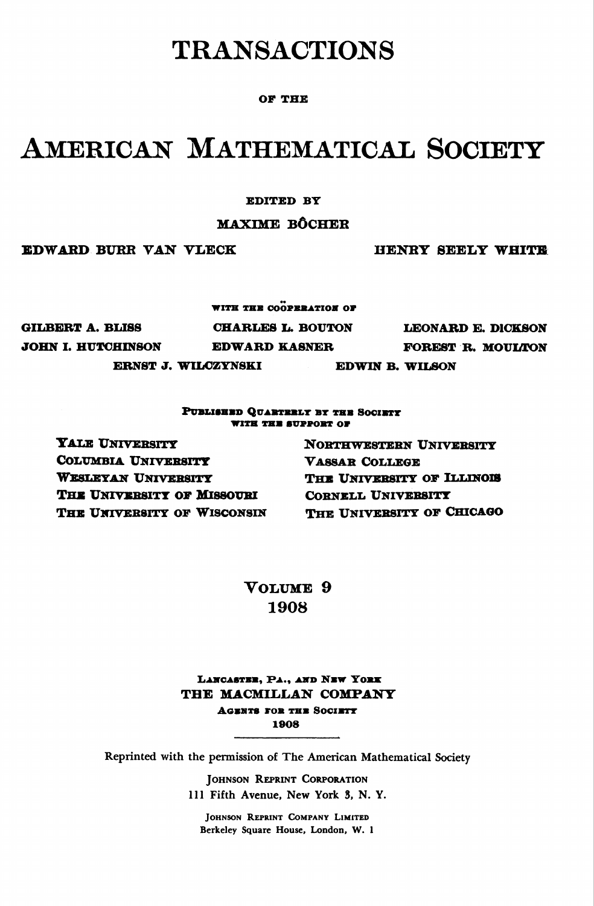# TRANSACTIONS

### OF THE

# American Mathematical Society

#### EDITED BY

### MAXIME BÔCHEB

EDWARD BURR VAN VLECK HENRY SEEEY WHITE

WITH THE COOPERATION OF GILBERT A. BLISS CHARLES L. BOUTON LEONARD E. DICKSON JOHN I. HUTCHINSON EDWARD KASNER FOREST R. MOULTON ERNST J. WILCZYNSKI EDWIN B. WILSON

#### PUBLISHED QUARTERLY BY THE SOCIETY WITH THE SUPPORT OF

YALE UNIVERSITY COLUMBIA UNIVERSITY WESLEYAN UNIVERSITY THE UNIVERSITY OF MISSOURI THE UNIVERSITY OF WISCONSIN Northwestern Univebsity Vassar College THE UNIVERSITY OF ILLINOIS Cornell University THE UNIVERSITY OF CHICAGO

Volume 9 1908

LANCASTEE, PA., AND NEW YORK THE MACMILLAN COMPANY **AGENTS FOR THE SOCIETY** 1908

Reprinted with the permission of The American Mathematical Society

Johnson Reprint Corporation 111 Fifth Avenue, New York 3, N. Y.

Johnson Reprint Company Limited Berkeley Square House, London, W. 1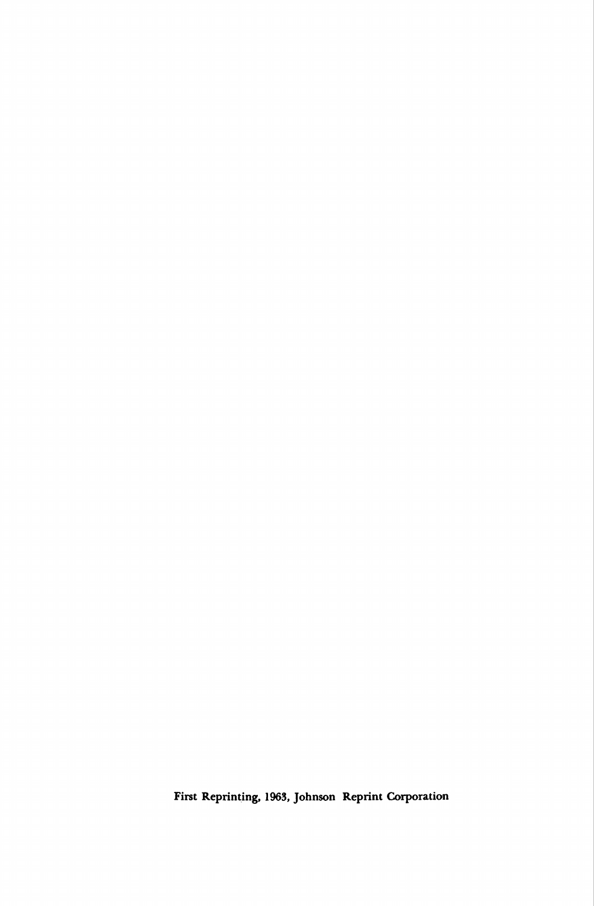First Reprinting, 1963, Johnson Reprint Corporation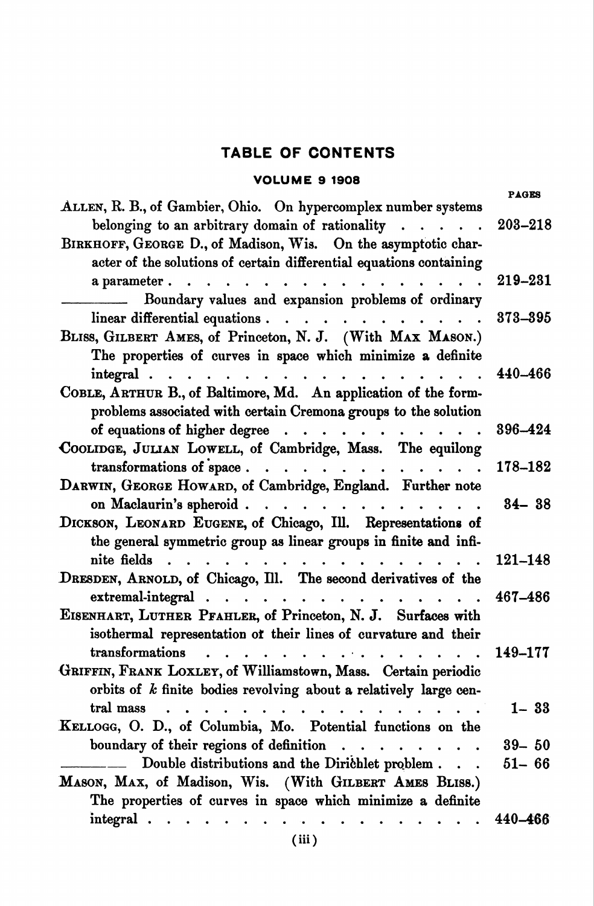# TABLE OF CONTENTS

## VOLUME 9 1908

| ALLEN, R. B., of Gambier, Ohio. On hypercomplex number systems                                                    | <b>PAGES</b> |
|-------------------------------------------------------------------------------------------------------------------|--------------|
| belonging to an arbitrary domain of rationality                                                                   | 203-218      |
| BIRKHOFF, GEORGE D., of Madison, Wis. On the asymptotic char-                                                     |              |
| acter of the solutions of certain differential equations containing                                               |              |
| a parameter.<br>$\begin{array}{cccccccccc} \bullet & \bullet & \bullet & \bullet & \bullet & \bullet \end{array}$ | 219-231      |
| Boundary values and expansion problems of ordinary                                                                |              |
| linear differential equations.                                                                                    | 373-395      |
| BLISS, GILBERT AMES, of Princeton, N. J. (With MAX MASON.)                                                        |              |
| The properties of curves in space which minimize a definite                                                       |              |
| integral.<br>.                                                                                                    | 440-466      |
| COBLE, ARTHUR B., of Baltimore, Md. An application of the form-                                                   |              |
| problems associated with certain Cremona groups to the solution                                                   |              |
| of equations of higher degree                                                                                     | 396-424      |
| COOLIDGE, JULIAN LOWELL, of Cambridge, Mass. The equilong                                                         |              |
| transformations of space                                                                                          | 178-182      |
| DARWIN, GEORGE HOWARD, of Cambridge, England. Further note                                                        |              |
| on Maclaurin's spheroid                                                                                           | $84 - 38$    |
| DICKSON, LEONARD EUGENE, of Chicago, Ill. Representations of                                                      |              |
| the general symmetric group as linear groups in finite and infi-                                                  |              |
| nite fields                                                                                                       | $121 - 148$  |
| DRESDEN, ARNOLD, of Chicago, Ill. The second derivatives of the                                                   |              |
| $extremal-integral$                                                                                               | 467-486      |
| EISENHART, LUTHER PFAHLER, of Princeton, N. J. Surfaces with                                                      |              |
| isothermal representation of their lines of curvature and their                                                   |              |
| transformations                                                                                                   | 149-177      |
| GRIFFIN, FRANK LOXLEY, of Williamstown, Mass. Certain periodic                                                    |              |
| orbits of $k$ finite bodies revolving about a relatively large cen-                                               |              |
| tral mass                                                                                                         | $1 - 33$     |
| KELLOGG, O. D., of Columbia, Mo. Potential functions on the                                                       |              |
| boundary of their regions of definition                                                                           | $39 - 50$    |
| Double distributions and the Dirichlet problem                                                                    | $51 - 66$    |
| MASON, MAX, of Madison, Wis. (With GILBERT AMES BLISS.)                                                           |              |
| The properties of curves in space which minimize a definite                                                       |              |
| integral                                                                                                          | 440-466      |